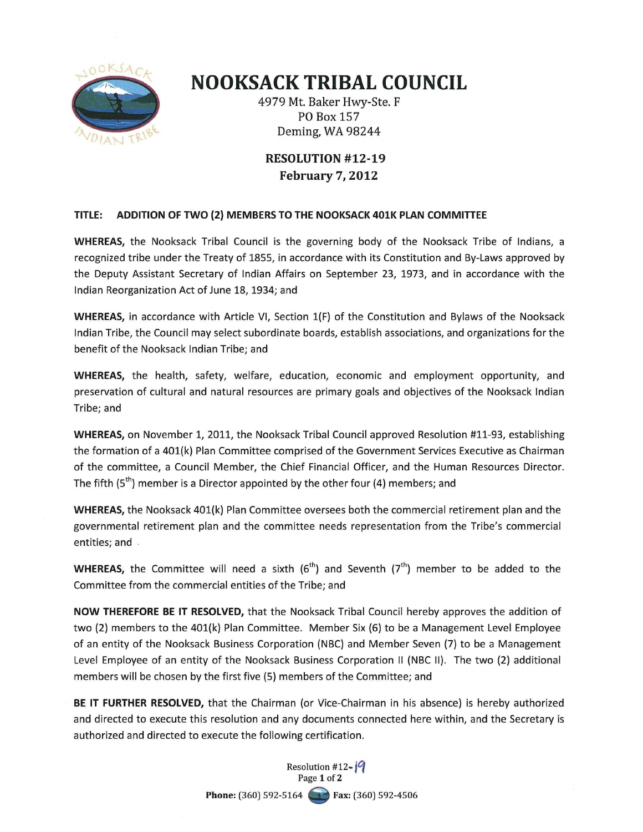

## **NOOKSACK TRIBAL COUNCIL**

4979 Mt. Baker Hwy-Ste. F PO Box 157 Deming, WA 98244

## **RESOLUTION #12-19 February 7, 2012**

## **TITLE: ADDITION OF TWO (2) MEMBERS TO THE NOOKSACK 401K PLAN COMMITTEE**

**WHEREAS,** the Nooksack Tribal Council is the governing body of the Nooksack Tribe of Indians, a recognized tribe under the Treaty of 1855, in accordance with its Constitution and By-Laws approved by the Deputy Assistant Secretary of Indian Affairs on September 23, 1973, and in accordance with the Indian Reorganization Act of June 18, 1934; and

**WHEREAS,** in accordance with Article VI, Section 1(F) of the Constitution and Bylaws of the Nooksack Indian Tribe, the Council may select subordinate boards, establish associations, and organizations for the benefit of the Nooksack Indian Tribe; and

**WHEREAS,** the health, safety, welfare, education, economic and employment opportunity, and preservation of cultural and natural resources are primary goals and objectives of the Nooksack Indian Tribe; and

**WHEREAS,** on November 1, 2011, the Nooksack Tribal Council approved Resolution #11-93, establishing the formation of a 401(k) Plan Committee comprised of the Government Services Executive as Chairman of the committee, a Council Member, the Chief Financial Officer, and the Human Resources Director. The fifth  $(5<sup>th</sup>)$  member is a Director appointed by the other four (4) members; and

**WHEREAS,** the Nooksack 401(k) Plan Committee oversees both the commercial retirement plan and the governmental retirement plan and the committee needs representation from the Tribe's commercial entities; and

**WHEREAS,** the Committee will need a sixth  $(6<sup>th</sup>)$  and Seventh  $(7<sup>th</sup>)$  member to be added to the Committee from the commercial entities of the Tribe; and

NOW THEREFORE BE IT RESOLVED, that the Nooksack Tribal Council hereby approves the addition of two (2) members to the 401(k) Plan Committee. Member Six (6) to be a Management Level Employee of an entity of the Nooksack Business Corporation (NBC) and Member Seven (7) to be a Management Level Employee of an entity of the Nooksack Business Corporation II (NBC II). The two (2) additional members will be chosen by the first five (5) members of the Committee; and

**BE IT FURTHER RESOLVED,** that the Chairman (or Vice-Chairman in his absence) is hereby authorized and directed to execute this resolution and any documents connected here within, and the Secretary is authorized and directed to execute the following certification.